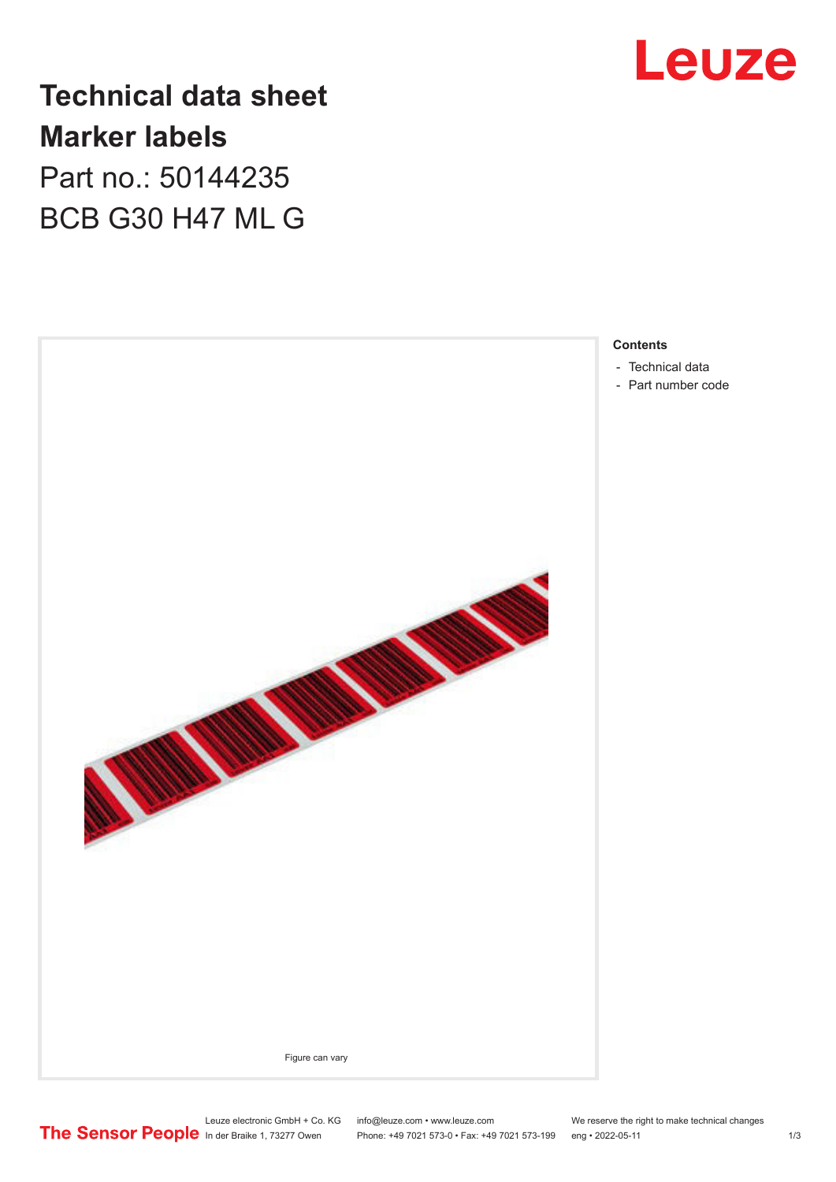

**Technical data sheet Marker labels** Part no.: 50144235

BCB G30 H47 ML G



- 
- [Part number code](#page-1-0)

Leuze electronic GmbH + Co. KG info@leuze.com • www.leuze.com We reserve the right to make technical changes<br>
The Sensor People in der Braike 1, 73277 Owen Phone: +49 7021 573-0 • Fax: +49 7021 573-199 eng • 2022-05-11 Phone: +49 7021 573-0 • Fax: +49 7021 573-199 eng • 2022-05-11 1 2022-05-11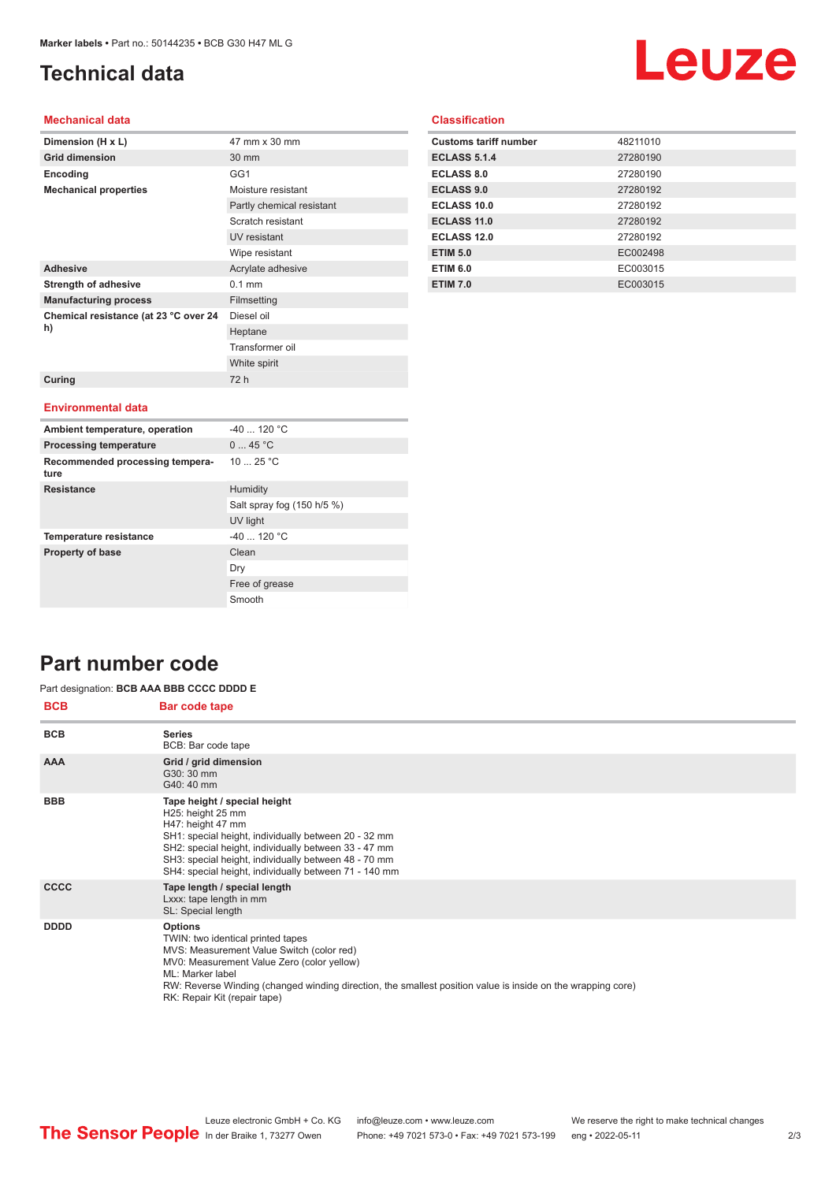## <span id="page-1-0"></span>**Technical data**

# Leuze

#### **Mechanical data**

| Dimension (H x L)                           | 47 mm x 30 mm             |
|---------------------------------------------|---------------------------|
| <b>Grid dimension</b>                       | 30 mm                     |
| Encoding                                    | GG1                       |
| <b>Mechanical properties</b>                | Moisture resistant        |
|                                             | Partly chemical resistant |
|                                             | Scratch resistant         |
|                                             | UV resistant              |
|                                             | Wipe resistant            |
| <b>Adhesive</b>                             | Acrylate adhesive         |
| <b>Strength of adhesive</b>                 | $0.1$ mm                  |
| <b>Manufacturing process</b>                | Filmsetting               |
| Chemical resistance (at 23 °C over 24<br>h) | Diesel oil                |
|                                             | Heptane                   |
|                                             | Transformer oil           |
|                                             | White spirit              |
| Curing                                      | 72 h                      |
|                                             |                           |
| <b>Environmental data</b>                   |                           |
| Ambient temperature, operation              | $-40$ 120 °C              |
| <b>Processing temperature</b>               | 045 °C                    |
| Recommended processing tempera-<br>ture     | 1025 °C                   |

Salt spray fog (150 h/5 %)

UV light

Free of grease Smooth

Dry

|  | <b>Classification</b> |  |
|--|-----------------------|--|
|  |                       |  |
|  |                       |  |

| <b>Customs tariff number</b> | 48211010 |
|------------------------------|----------|
| <b>ECLASS 5.1.4</b>          | 27280190 |
| <b>ECLASS 8.0</b>            | 27280190 |
| <b>ECLASS 9.0</b>            | 27280192 |
| ECLASS 10.0                  | 27280192 |
| ECLASS 11.0                  | 27280192 |
| ECLASS 12.0                  | 27280192 |
| <b>ETIM 5.0</b>              | EC002498 |
| <b>ETIM 6.0</b>              | EC003015 |
| <b>ETIM 7.0</b>              | EC003015 |

## **Part number code**

#### **BCB Bar code tape** Part designation: **BCB AAA BBB CCCC DDDD E**

**Resistance** Humidity

**Temperature resistance**  $-40$  ... 120 °C **Property of base** Clean

| DUD         | <b>Dar code tape</b>                                                                                                                                                                                                                                                                                              |
|-------------|-------------------------------------------------------------------------------------------------------------------------------------------------------------------------------------------------------------------------------------------------------------------------------------------------------------------|
| <b>BCB</b>  | <b>Series</b><br>BCB: Bar code tape                                                                                                                                                                                                                                                                               |
| <b>AAA</b>  | Grid / grid dimension<br>G30: 30 mm<br>G40: 40 mm                                                                                                                                                                                                                                                                 |
| <b>BBB</b>  | Tape height / special height<br>H25: height 25 mm<br>H47: height 47 mm<br>SH1: special height, individually between 20 - 32 mm<br>SH2: special height, individually between 33 - 47 mm<br>SH3: special height, individually between 48 - 70 mm<br>SH4: special height, individually between 71 - 140 mm           |
| <b>CCCC</b> | Tape length / special length<br>Lxxx: tape length in mm<br>SL: Special length                                                                                                                                                                                                                                     |
| <b>DDDD</b> | <b>Options</b><br>TWIN: two identical printed tapes<br>MVS: Measurement Value Switch (color red)<br>MV0: Measurement Value Zero (color yellow)<br>ML: Marker label<br>RW: Reverse Winding (changed winding direction, the smallest position value is inside on the wrapping core)<br>RK: Repair Kit (repair tape) |